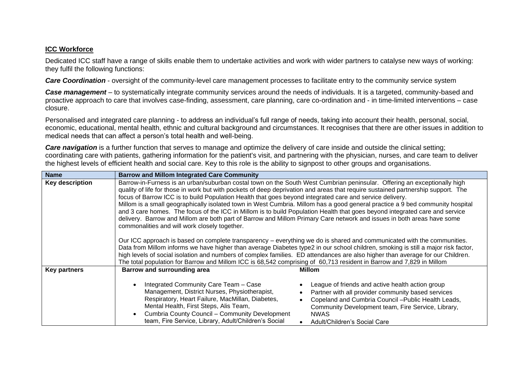## **ICC Workforce**

Dedicated ICC staff have a range of skills enable them to undertake activities and work with wider partners to catalyse new ways of working: they fulfil the following functions:

*Care Coordination* - oversight of the community-level care management processes to facilitate entry to the community service system

*Case management* – to systematically integrate community services around the needs of individuals. It is a targeted, community-based and proactive approach to care that involves case-finding, assessment, care planning, care co-ordination and - in time-limited interventions – case closure.

Personalised and integrated care planning - to address an individual's full range of needs, taking into account their health, personal, social, economic, educational, mental health, ethnic and cultural background and circumstances. It recognises that there are other issues in addition to medical needs that can affect a person's total health and well-being.

*Care navigation* is a further function that serves to manage and optimize the delivery of care inside and outside the clinical setting; coordinating care with patients, gathering information for the patient's visit, and partnering with the physician, nurses, and care team to deliver the highest levels of efficient health and social care. Key to this role is the ability to signpost to other groups and organisations.

| <b>Name</b>            | <b>Barrow and Millom Integrated Care Community</b>                                                                                                                                                                                                                                                                                                                                                                                                                                                                                                                                                                                                                                                                                                                                                                                                                                                                                                                                                                                                                                                                                                                                                                                                                                                                                           |  |
|------------------------|----------------------------------------------------------------------------------------------------------------------------------------------------------------------------------------------------------------------------------------------------------------------------------------------------------------------------------------------------------------------------------------------------------------------------------------------------------------------------------------------------------------------------------------------------------------------------------------------------------------------------------------------------------------------------------------------------------------------------------------------------------------------------------------------------------------------------------------------------------------------------------------------------------------------------------------------------------------------------------------------------------------------------------------------------------------------------------------------------------------------------------------------------------------------------------------------------------------------------------------------------------------------------------------------------------------------------------------------|--|
| <b>Key description</b> | Barrow-in-Furness is an urban/suburban costal town on the South West Cumbrian peninsular. Offering an exceptionally high<br>quality of life for those in work but with pockets of deep deprivation and areas that require sustained partnership support. The<br>focus of Barrow ICC is to build Population Health that goes beyond integrated care and service delivery.<br>Millom is a small geographically isolated town in West Cumbria. Millom has a good general practice a 9 bed community hospital<br>and 3 care homes. The focus of the ICC in Millom is to build Population Health that goes beyond integrated care and service<br>delivery. Barrow and Millom are both part of Barrow and Millom Primary Care network and issues in both areas have some<br>commonalities and will work closely together.<br>Our ICC approach is based on complete transparency – everything we do is shared and communicated with the communities.<br>Data from Millom informs we have higher than average Diabetes type2 in our school children, smoking is still a major risk factor,<br>high levels of social isolation and numbers of complex families. ED attendances are also higher than average for our Children.<br>The total population for Barrow and Millom ICC is 68,542 comprising of 60,713 resident in Barrow and 7,829 in Millom |  |
| <b>Key partners</b>    | Barrow and surrounding area<br><b>Millom</b><br>Integrated Community Care Team - Case<br>League of friends and active health action group<br>Management, District Nurses, Physiotherapist,<br>Partner with all provider community based services<br>Respiratory, Heart Failure, MacMillan, Diabetes,<br>Copeland and Cumbria Council - Public Health Leads,<br>Mental Health, First Steps, Alis Team,<br>Community Development team, Fire Service, Library,<br>Cumbria County Council - Community Development<br><b>NWAS</b><br>team, Fire Service, Library, Adult/Children's Social<br>Adult/Children's Social Care                                                                                                                                                                                                                                                                                                                                                                                                                                                                                                                                                                                                                                                                                                                         |  |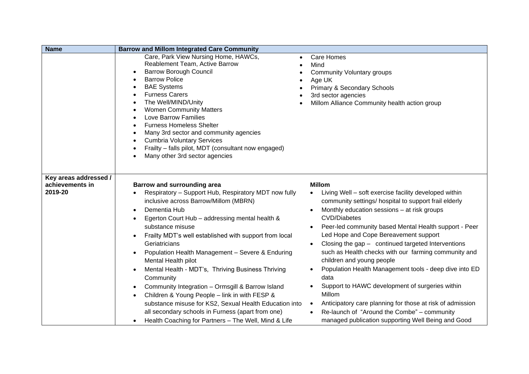| <b>Name</b>                                         | <b>Barrow and Millom Integrated Care Community</b>                                                                                                                                                                                                                                                                                                                                                                                                                                                                                                                                                                                                                                                                                                                                |                                                                                                                                                                                                                                                                                                                                                                                                                                                                                                                                                                                                                                                                                                                                                                               |
|-----------------------------------------------------|-----------------------------------------------------------------------------------------------------------------------------------------------------------------------------------------------------------------------------------------------------------------------------------------------------------------------------------------------------------------------------------------------------------------------------------------------------------------------------------------------------------------------------------------------------------------------------------------------------------------------------------------------------------------------------------------------------------------------------------------------------------------------------------|-------------------------------------------------------------------------------------------------------------------------------------------------------------------------------------------------------------------------------------------------------------------------------------------------------------------------------------------------------------------------------------------------------------------------------------------------------------------------------------------------------------------------------------------------------------------------------------------------------------------------------------------------------------------------------------------------------------------------------------------------------------------------------|
|                                                     | Care, Park View Nursing Home, HAWCs,<br>Reablement Team, Active Barrow<br><b>Barrow Borough Council</b><br>$\bullet$<br><b>Barrow Police</b><br><b>BAE Systems</b><br>$\bullet$<br><b>Furness Carers</b><br>The Well/MIND/Unity<br><b>Women Community Matters</b><br>Love Barrow Families<br><b>Furness Homeless Shelter</b><br>Many 3rd sector and community agencies<br><b>Cumbria Voluntary Services</b><br>Frailty - falls pilot, MDT (consultant now engaged)<br>Many other 3rd sector agencies                                                                                                                                                                                                                                                                              | <b>Care Homes</b><br>$\bullet$<br>Mind<br>$\bullet$<br>Community Voluntary groups<br>Age UK<br><b>Primary &amp; Secondary Schools</b><br>3rd sector agencies<br>Millom Alliance Community health action group                                                                                                                                                                                                                                                                                                                                                                                                                                                                                                                                                                 |
| Key areas addressed /<br>achievements in<br>2019-20 | <b>Barrow and surrounding area</b><br>Respiratory - Support Hub, Respiratory MDT now fully<br>inclusive across Barrow/Millom (MBRN)<br>Dementia Hub<br>$\bullet$<br>Egerton Court Hub - addressing mental health &<br>substance misuse<br>Frailty MDT's well established with support from local<br>Geriatricians<br>Population Health Management - Severe & Enduring<br>$\bullet$<br>Mental Health pilot<br>Mental Health - MDT's, Thriving Business Thriving<br>$\bullet$<br>Community<br>Community Integration - Ormsgill & Barrow Island<br>$\bullet$<br>Children & Young People - link in with FESP &<br>substance misuse for KS2, Sexual Health Education into<br>all secondary schools in Furness (apart from one)<br>Health Coaching for Partners - The Well, Mind & Life | <b>Millom</b><br>Living Well - soft exercise facility developed within<br>$\bullet$<br>community settings/ hospital to support frail elderly<br>Monthly education sessions - at risk groups<br><b>CVD/Diabetes</b><br>Peer-led community based Mental Health support - Peer<br>Led Hope and Cope Bereavement support<br>Closing the gap - continued targeted Interventions<br>such as Health checks with our farming community and<br>children and young people<br>Population Health Management tools - deep dive into ED<br>data<br>Support to HAWC development of surgeries within<br>Millom<br>Anticipatory care planning for those at risk of admission<br>$\bullet$<br>Re-launch of "Around the Combe" - community<br>managed publication supporting Well Being and Good |